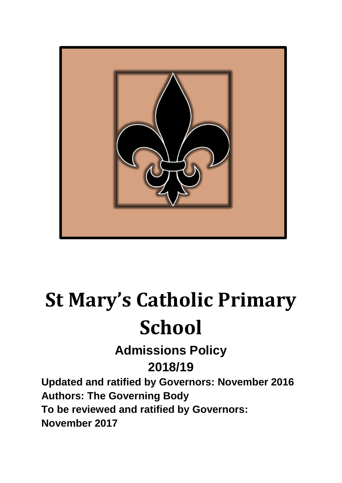

# **St Mary's Catholic Primary School**

**Admissions Policy 2018/19**

**Updated and ratified by Governors: November 2016 Authors: The Governing Body To be reviewed and ratified by Governors: November 2017**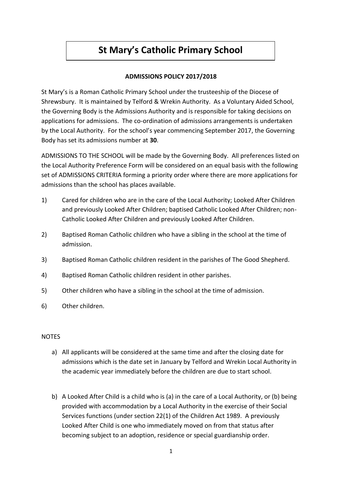# **St Mary's Catholic Primary School**

### **ADMISSIONS POLICY 2017/2018**

St Mary's is a Roman Catholic Primary School under the trusteeship of the Diocese of Shrewsbury. It is maintained by Telford & Wrekin Authority. As a Voluntary Aided School, the Governing Body is the Admissions Authority and is responsible for taking decisions on applications for admissions. The co-ordination of admissions arrangements is undertaken by the Local Authority. For the school's year commencing September 2017, the Governing Body has set its admissions number at **30**.

ADMISSIONS TO THE SCHOOL will be made by the Governing Body. All preferences listed on the Local Authority Preference Form will be considered on an equal basis with the following set of ADMISSIONS CRITERIA forming a priority order where there are more applications for admissions than the school has places available.

- 1) Cared for children who are in the care of the Local Authority; Looked After Children and previously Looked After Children; baptised Catholic Looked After Children; non-Catholic Looked After Children and previously Looked After Children.
- 2) Baptised Roman Catholic children who have a sibling in the school at the time of admission.
- 3) Baptised Roman Catholic children resident in the parishes of The Good Shepherd.
- 4) Baptised Roman Catholic children resident in other parishes.
- 5) Other children who have a sibling in the school at the time of admission.
- 6) Other children.

#### NOTES

- a) All applicants will be considered at the same time and after the closing date for admissions which is the date set in January by Telford and Wrekin Local Authority in the academic year immediately before the children are due to start school.
- b) A Looked After Child is a child who is (a) in the care of a Local Authority, or (b) being provided with accommodation by a Local Authority in the exercise of their Social Services functions (under section 22(1) of the Children Act 1989. A previously Looked After Child is one who immediately moved on from that status after becoming subject to an adoption, residence or special guardianship order.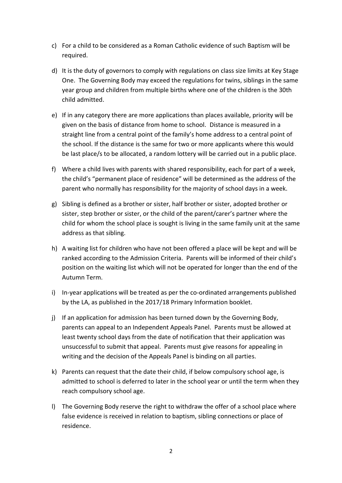- c) For a child to be considered as a Roman Catholic evidence of such Baptism will be required.
- d) It is the duty of governors to comply with regulations on class size limits at Key Stage One. The Governing Body may exceed the regulations for twins, siblings in the same year group and children from multiple births where one of the children is the 30th child admitted.
- e) If in any category there are more applications than places available, priority will be given on the basis of distance from home to school. Distance is measured in a straight line from a central point of the family's home address to a central point of the school. If the distance is the same for two or more applicants where this would be last place/s to be allocated, a random lottery will be carried out in a public place.
- f) Where a child lives with parents with shared responsibility, each for part of a week, the child's "permanent place of residence" will be determined as the address of the parent who normally has responsibility for the majority of school days in a week.
- g) Sibling is defined as a brother or sister, half brother or sister, adopted brother or sister, step brother or sister, or the child of the parent/carer's partner where the child for whom the school place is sought is living in the same family unit at the same address as that sibling.
- h) A waiting list for children who have not been offered a place will be kept and will be ranked according to the Admission Criteria. Parents will be informed of their child's position on the waiting list which will not be operated for longer than the end of the Autumn Term.
- i) In-year applications will be treated as per the co-ordinated arrangements published by the LA, as published in the 2017/18 Primary Information booklet.
- j) If an application for admission has been turned down by the Governing Body, parents can appeal to an Independent Appeals Panel. Parents must be allowed at least twenty school days from the date of notification that their application was unsuccessful to submit that appeal. Parents must give reasons for appealing in writing and the decision of the Appeals Panel is binding on all parties.
- k) Parents can request that the date their child, if below compulsory school age, is admitted to school is deferred to later in the school year or until the term when they reach compulsory school age.
- l) The Governing Body reserve the right to withdraw the offer of a school place where false evidence is received in relation to baptism, sibling connections or place of residence.